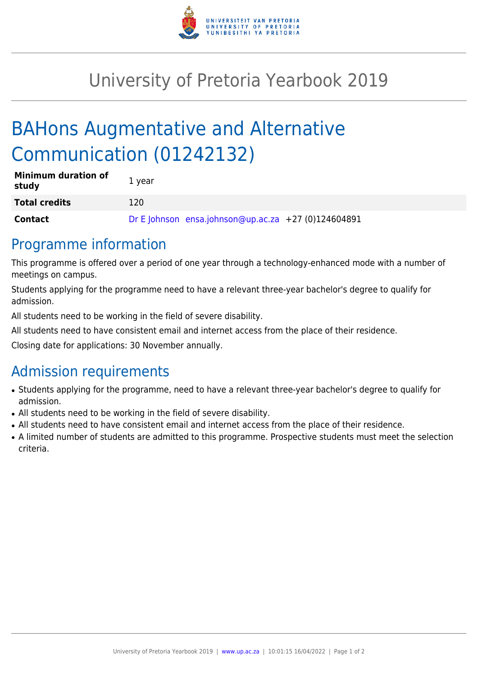

## University of Pretoria Yearbook 2019

# BAHons Augmentative and Alternative Communication (01242132)

| <b>Minimum duration of</b><br>study | 1 year |                                                     |  |
|-------------------------------------|--------|-----------------------------------------------------|--|
| <b>Total credits</b>                | 120    |                                                     |  |
| <b>Contact</b>                      |        | Dr E Johnson ensa.johnson@up.ac.za +27 (0)124604891 |  |

#### Programme information

This programme is offered over a period of one year through a technology-enhanced mode with a number of meetings on campus.

Students applying for the programme need to have a relevant three-year bachelor's degree to qualify for admission.

All students need to be working in the field of severe disability.

All students need to have consistent email and internet access from the place of their residence.

Closing date for applications: 30 November annually.

### Admission requirements

- Students applying for the programme, need to have a relevant three-year bachelor's degree to qualify for admission.
- All students need to be working in the field of severe disability.
- All students need to have consistent email and internet access from the place of their residence.
- A limited number of students are admitted to this programme. Prospective students must meet the selection criteria.